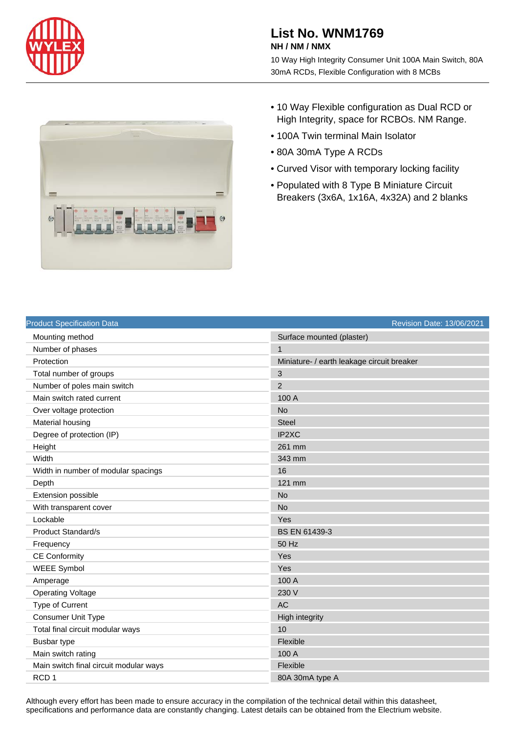

## **List No. WNM1769 NH / NM / NMX**

10 Way High Integrity Consumer Unit 100A Main Switch, 80A 30mA RCDs, Flexible Configuration with 8 MCBs



- 10 Way Flexible configuration as Dual RCD or High Integrity, space for RCBOs. NM Range.
- 100A Twin terminal Main Isolator
- 80A 30mA Type A RCDs
- Curved Visor with temporary locking facility
- Populated with 8 Type B Miniature Circuit Breakers (3x6A, 1x16A, 4x32A) and 2 blanks

| <b>Product Specification Data</b>      | Revision Date: 13/06/2021                  |
|----------------------------------------|--------------------------------------------|
| Mounting method                        | Surface mounted (plaster)                  |
| Number of phases                       | $\mathbf{1}$                               |
| Protection                             | Miniature- / earth leakage circuit breaker |
| Total number of groups                 | 3                                          |
| Number of poles main switch            | $\overline{2}$                             |
| Main switch rated current              | 100 A                                      |
| Over voltage protection                | <b>No</b>                                  |
| Material housing                       | <b>Steel</b>                               |
| Degree of protection (IP)              | IP2XC                                      |
| Height                                 | 261 mm                                     |
| Width                                  | 343 mm                                     |
| Width in number of modular spacings    | 16                                         |
| Depth                                  | 121 mm                                     |
| Extension possible                     | <b>No</b>                                  |
| With transparent cover                 | <b>No</b>                                  |
| Lockable                               | Yes                                        |
| <b>Product Standard/s</b>              | BS EN 61439-3                              |
| Frequency                              | 50 Hz                                      |
| <b>CE Conformity</b>                   | Yes                                        |
| <b>WEEE Symbol</b>                     | Yes                                        |
| Amperage                               | 100 A                                      |
| <b>Operating Voltage</b>               | 230 V                                      |
| Type of Current                        | <b>AC</b>                                  |
| Consumer Unit Type                     | <b>High integrity</b>                      |
| Total final circuit modular ways       | 10                                         |
| <b>Busbar type</b>                     | Flexible                                   |
| Main switch rating                     | 100 A                                      |
| Main switch final circuit modular ways | Flexible                                   |
| RCD <sub>1</sub>                       | 80A 30mA type A                            |

Although every effort has been made to ensure accuracy in the compilation of the technical detail within this datasheet, specifications and performance data are constantly changing. Latest details can be obtained from the Electrium website.